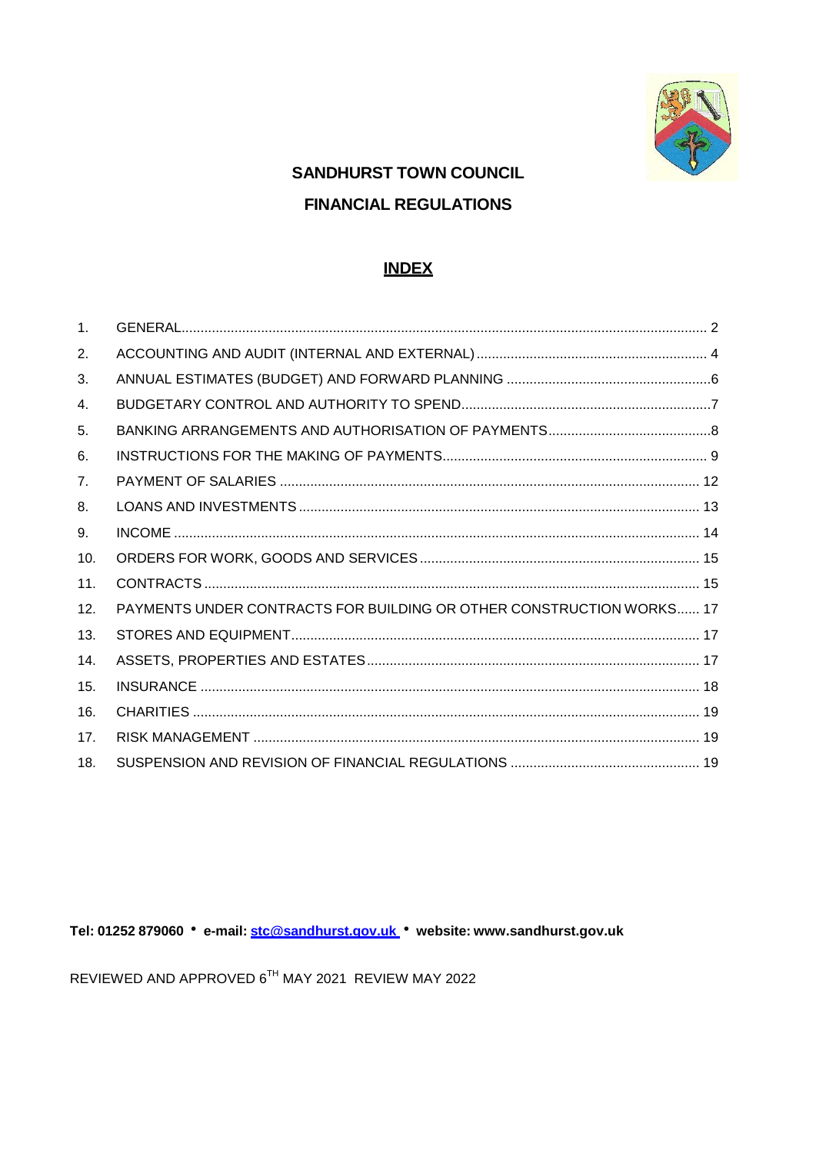

# **SANDHURST TOWN COUNCIL FINANCIAL REGULATIONS**

## **INDEX**

| 1.             |                                                                      |  |
|----------------|----------------------------------------------------------------------|--|
| 2.             |                                                                      |  |
| 3.             |                                                                      |  |
| 4.             |                                                                      |  |
| 5.             |                                                                      |  |
| 6.             |                                                                      |  |
| 7 <sub>1</sub> |                                                                      |  |
| 8.             |                                                                      |  |
| 9.             |                                                                      |  |
| 10.            |                                                                      |  |
| 11.            |                                                                      |  |
| 12.            | PAYMENTS UNDER CONTRACTS FOR BUILDING OR OTHER CONSTRUCTION WORKS 17 |  |
| 13.            |                                                                      |  |
| 14.            |                                                                      |  |
| 15.            |                                                                      |  |
| 16.            |                                                                      |  |
| 17.            |                                                                      |  |
| 18.            |                                                                      |  |

Tel: 01252 879060 · e-mail: stc@sandhurst.gov.uk · website: www.sandhurst.gov.uk

REVIEWED AND APPROVED 6TH MAY 2021 REVIEW MAY 2022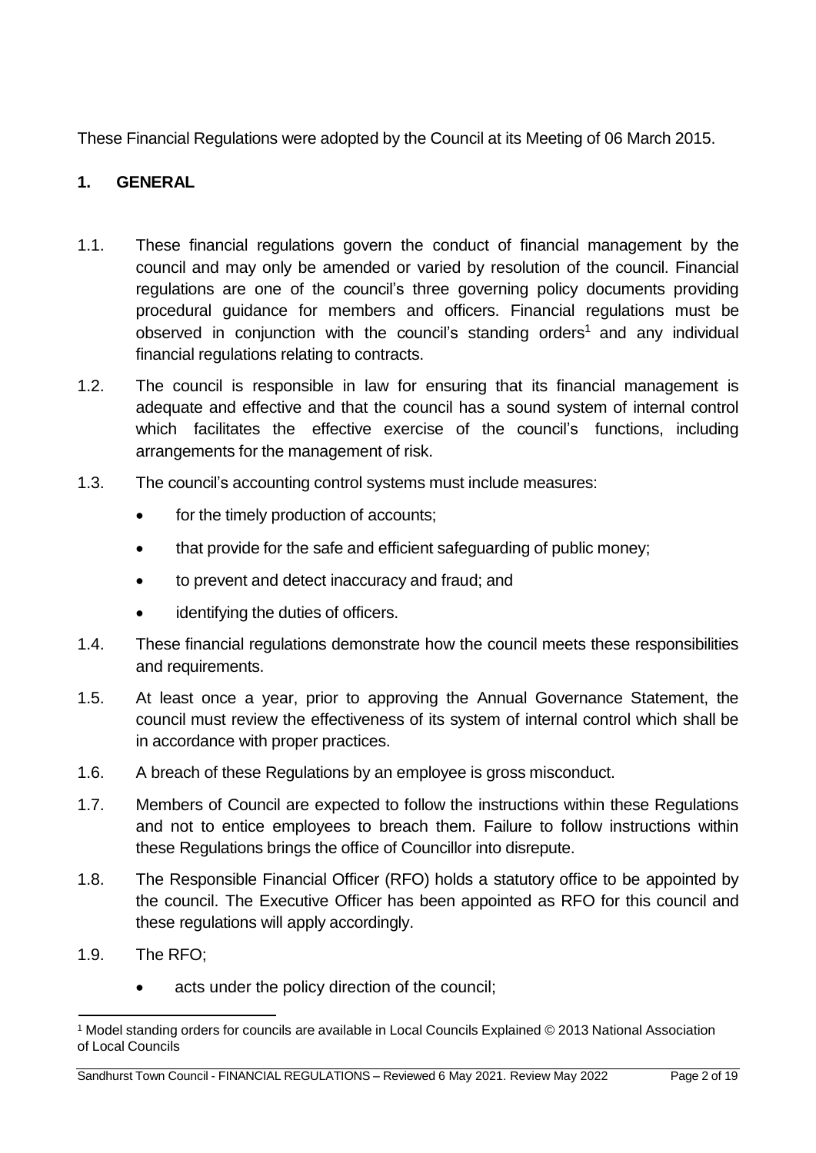These Financial Regulations were adopted by the Council at its Meeting of 06 March 2015.

## <span id="page-1-0"></span>**1. GENERAL**

- 1.1. These financial regulations govern the conduct of financial management by the council and may only be amended or varied by resolution of the council. Financial regulations are one of the council's three governing policy documents providing procedural guidance for members and officers. Financial regulations must be observed in conjunction with the council's standing orders<sup>[1](#page-1-1)</sup> and any individual financial regulations relating to contracts.
- 1.2. The council is responsible in law for ensuring that its financial management is adequate and effective and that the council has a sound system of internal control which facilitates the effective exercise of the council's functions, including arrangements for the management of risk.
- 1.3. The council's accounting control systems must include measures:
	- for the timely production of accounts;
	- that provide for the safe and efficient safeguarding of public money;
	- to prevent and detect inaccuracy and fraud; and
	- identifying the duties of officers.
- 1.4. These financial regulations demonstrate how the council meets these responsibilities and requirements.
- 1.5. At least once a year, prior to approving the Annual Governance Statement, the council must review the effectiveness of its system of internal control which shall be in accordance with proper practices.
- 1.6. A breach of these Regulations by an employee is gross misconduct.
- 1.7. Members of Council are expected to follow the instructions within these Regulations and not to entice employees to breach them. Failure to follow instructions within these Regulations brings the office of Councillor into disrepute.
- 1.8. The Responsible Financial Officer (RFO) holds a statutory office to be appointed by the council. The Executive Officer has been appointed as RFO for this council and these regulations will apply accordingly.
- 1.9. The RFO;
	- acts under the policy direction of the council;

<span id="page-1-1"></span><sup>1</sup> Model standing orders for councils are available in Local Councils Explained © 2013 National Association of Local Councils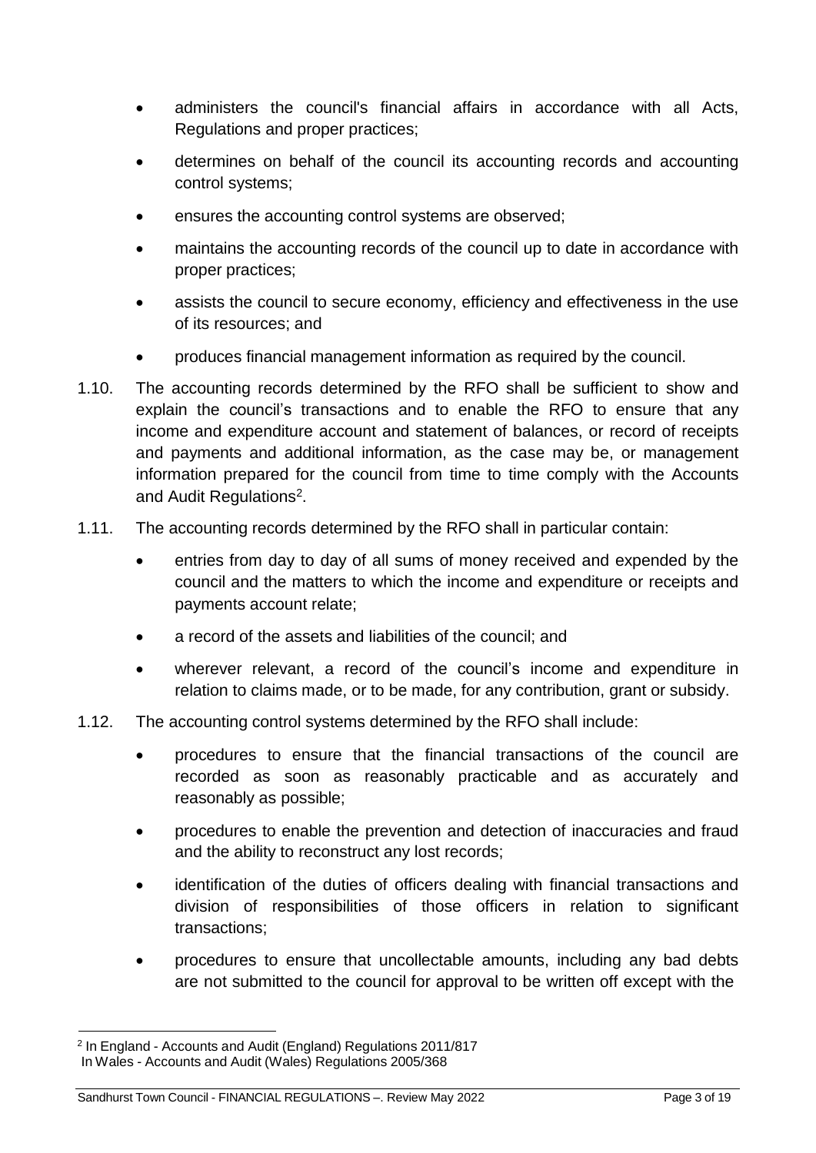- administers the council's financial affairs in accordance with all Acts, Regulations and proper practices;
- determines on behalf of the council its accounting records and accounting control systems;
- ensures the accounting control systems are observed;
- maintains the accounting records of the council up to date in accordance with proper practices;
- assists the council to secure economy, efficiency and effectiveness in the use of its resources; and
- produces financial management information as required by the council.
- 1.10. The accounting records determined by the RFO shall be sufficient to show and explain the council's transactions and to enable the RFO to ensure that any income and expenditure account and statement of balances, or record of receipts and payments and additional information, as the case may be, or management information prepared for the council from time to time comply with the Accounts and Audit Regulations<sup>[2](#page-2-0)</sup>.
- 1.11. The accounting records determined by the RFO shall in particular contain:
	- entries from day to day of all sums of money received and expended by the council and the matters to which the income and expenditure or receipts and payments account relate;
	- a record of the assets and liabilities of the council; and
	- wherever relevant, a record of the council's income and expenditure in relation to claims made, or to be made, for any contribution, grant or subsidy.
- 1.12. The accounting control systems determined by the RFO shall include:
	- procedures to ensure that the financial transactions of the council are recorded as soon as reasonably practicable and as accurately and reasonably as possible;
	- procedures to enable the prevention and detection of inaccuracies and fraud and the ability to reconstruct any lost records;
	- identification of the duties of officers dealing with financial transactions and division of responsibilities of those officers in relation to significant transactions;
	- procedures to ensure that uncollectable amounts, including any bad debts are not submitted to the council for approval to be written off except with the

<span id="page-2-0"></span><sup>2</sup> In England - Accounts and Audit (England) Regulations 2011/817 In Wales - Accounts and Audit (Wales) Regulations 2005/368

Sandhurst Town Council - FINANCIAL REGULATIONS –. Review May 2022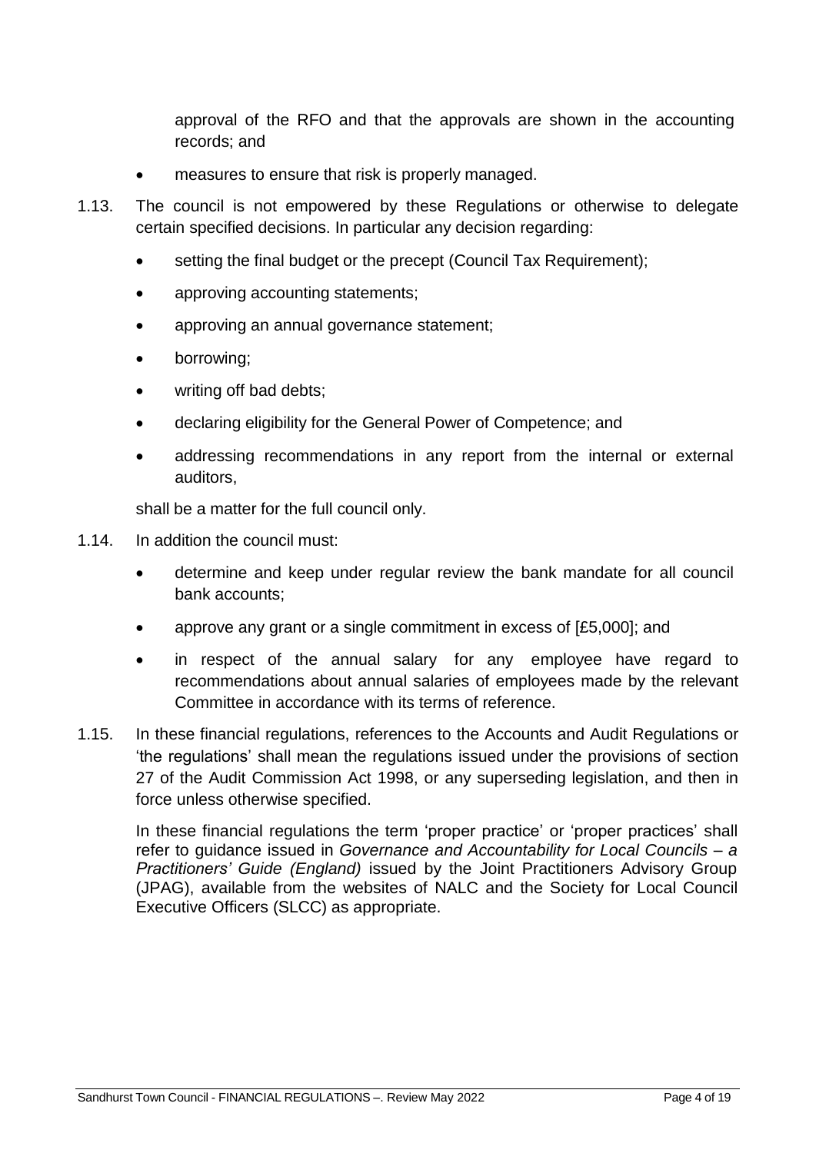approval of the RFO and that the approvals are shown in the accounting records; and

- measures to ensure that risk is properly managed.
- 1.13. The council is not empowered by these Regulations or otherwise to delegate certain specified decisions. In particular any decision regarding:
	- setting the final budget or the precept (Council Tax Requirement);
	- approving accounting statements;
	- approving an annual governance statement;
	- borrowing;
	- writing off bad debts;
	- declaring eligibility for the General Power of Competence; and
	- addressing recommendations in any report from the internal or external auditors,

shall be a matter for the full council only.

- 1.14. In addition the council must:
	- determine and keep under regular review the bank mandate for all council bank accounts;
	- approve any grant or a single commitment in excess of [£5,000]; and
	- in respect of the annual salary for any employee have regard to recommendations about annual salaries of employees made by the relevant Committee in accordance with its terms of reference.
- 1.15. In these financial regulations, references to the Accounts and Audit Regulations or 'the regulations' shall mean the regulations issued under the provisions of section 27 of the Audit Commission Act 1998, or any superseding legislation, and then in force unless otherwise specified.

In these financial regulations the term 'proper practice' or 'proper practices' shall refer to guidance issued in *Governance and Accountability for Local Councils – a Practitioners' Guide (England)* issued by the Joint Practitioners Advisory Group (JPAG), available from the websites of NALC and the Society for Local Council Executive Officers (SLCC) as appropriate.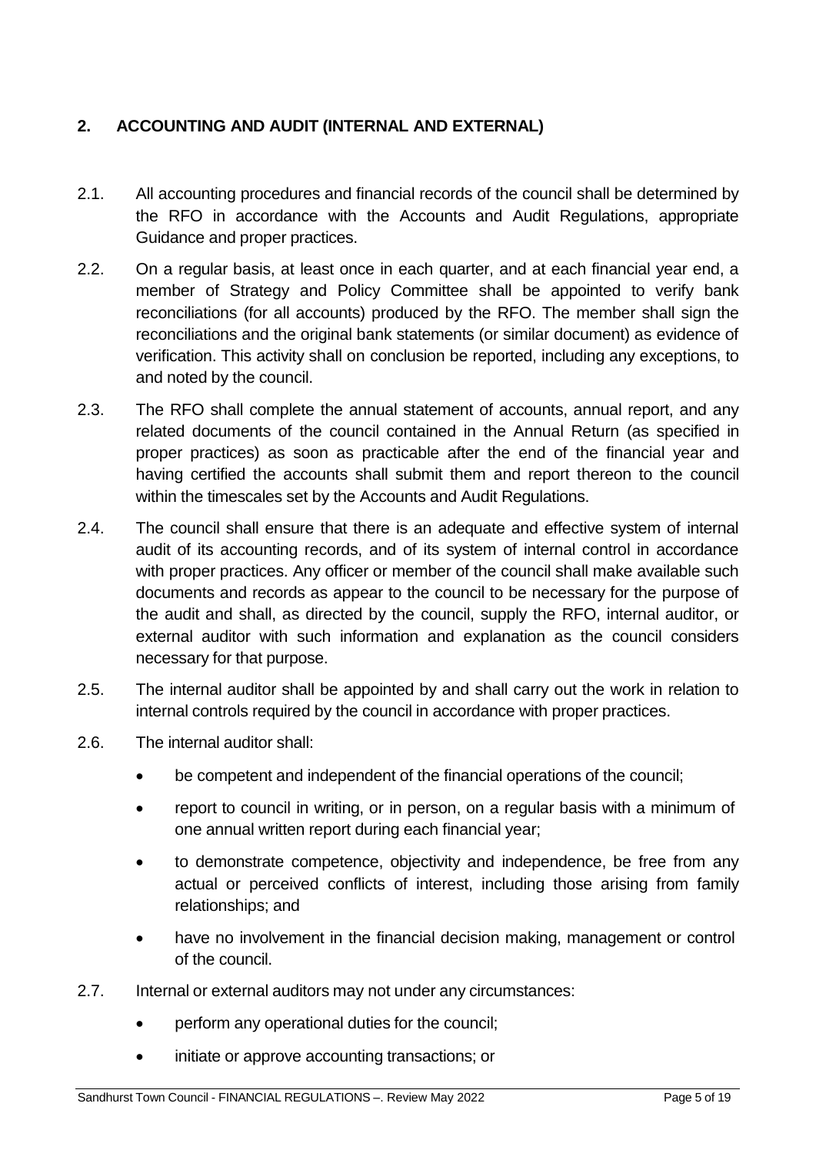## <span id="page-4-0"></span>**2. ACCOUNTING AND AUDIT (INTERNAL AND EXTERNAL)**

- 2.1. All accounting procedures and financial records of the council shall be determined by the RFO in accordance with the Accounts and Audit Regulations, appropriate Guidance and proper practices.
- 2.2. On a regular basis, at least once in each quarter, and at each financial year end, a member of Strategy and Policy Committee shall be appointed to verify bank reconciliations (for all accounts) produced by the RFO. The member shall sign the reconciliations and the original bank statements (or similar document) as evidence of verification. This activity shall on conclusion be reported, including any exceptions, to and noted by the council.
- 2.3. The RFO shall complete the annual statement of accounts, annual report, and any related documents of the council contained in the Annual Return (as specified in proper practices) as soon as practicable after the end of the financial year and having certified the accounts shall submit them and report thereon to the council within the timescales set by the Accounts and Audit Regulations.
- 2.4. The council shall ensure that there is an adequate and effective system of internal audit of its accounting records, and of its system of internal control in accordance with proper practices. Any officer or member of the council shall make available such documents and records as appear to the council to be necessary for the purpose of the audit and shall, as directed by the council, supply the RFO, internal auditor, or external auditor with such information and explanation as the council considers necessary for that purpose.
- 2.5. The internal auditor shall be appointed by and shall carry out the work in relation to internal controls required by the council in accordance with proper practices.
- 2.6. The internal auditor shall:
	- be competent and independent of the financial operations of the council;
	- report to council in writing, or in person, on a regular basis with a minimum of one annual written report during each financial year;
	- to demonstrate competence, objectivity and independence, be free from any actual or perceived conflicts of interest, including those arising from family relationships; and
	- have no involvement in the financial decision making, management or control of the council.
- 2.7. Internal or external auditors may not under any circumstances:
	- perform any operational duties for the council;
	- initiate or approve accounting transactions; or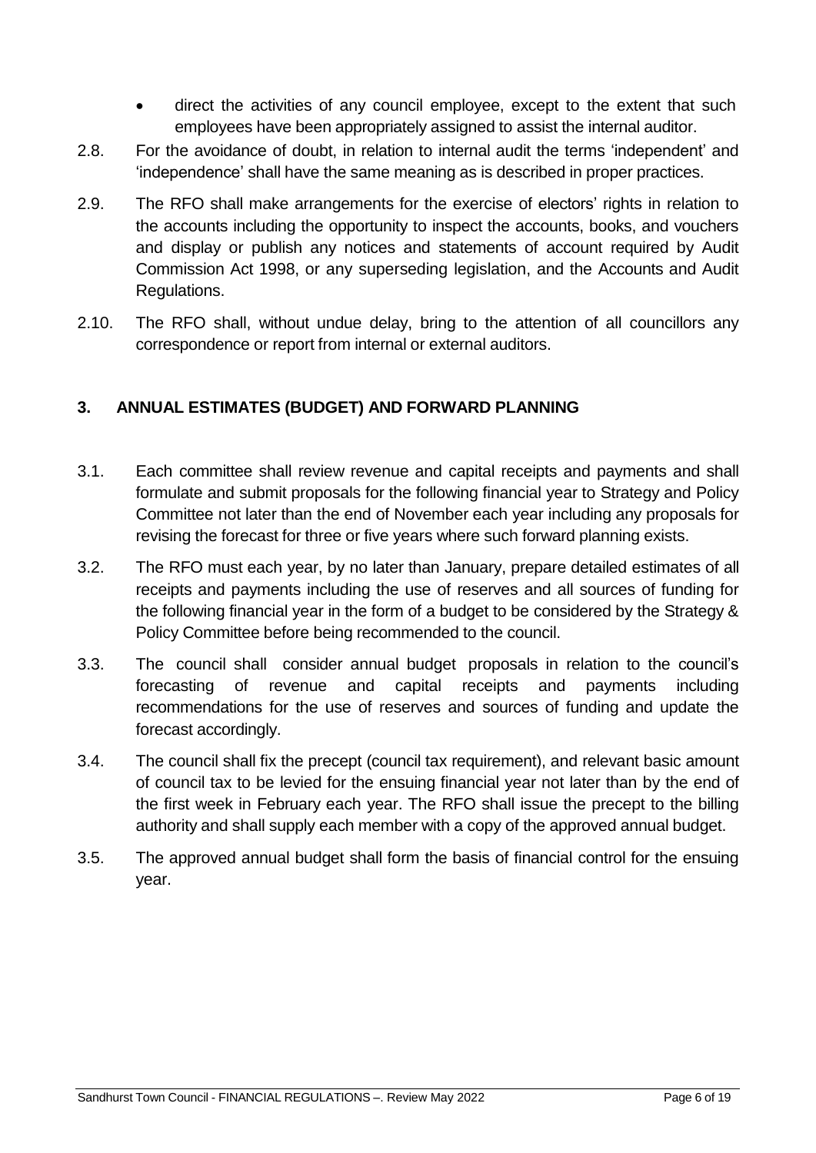- direct the activities of any council employee, except to the extent that such employees have been appropriately assigned to assist the internal auditor.
- 2.8. For the avoidance of doubt, in relation to internal audit the terms 'independent' and 'independence' shall have the same meaning as is described in proper practices.
- 2.9. The RFO shall make arrangements for the exercise of electors' rights in relation to the accounts including the opportunity to inspect the accounts, books, and vouchers and display or publish any notices and statements of account required by Audit Commission Act 1998, or any superseding legislation, and the Accounts and Audit Regulations.
- 2.10. The RFO shall, without undue delay, bring to the attention of all councillors any correspondence or report from internal or external auditors.

### <span id="page-5-0"></span>**3. ANNUAL ESTIMATES (BUDGET) AND FORWARD PLANNING**

- 3.1. Each committee shall review revenue and capital receipts and payments and shall formulate and submit proposals for the following financial year to Strategy and Policy Committee not later than the end of November each year including any proposals for revising the forecast for three or five years where such forward planning exists.
- 3.2. The RFO must each year, by no later than January, prepare detailed estimates of all receipts and payments including the use of reserves and all sources of funding for the following financial year in the form of a budget to be considered by the Strategy & Policy Committee before being recommended to the council.
- 3.3. The council shall consider annual budget proposals in relation to the council's forecasting of revenue and capital receipts and payments including recommendations for the use of reserves and sources of funding and update the forecast accordingly.
- 3.4. The council shall fix the precept (council tax requirement), and relevant basic amount of council tax to be levied for the ensuing financial year not later than by the end of the first week in February each year. The RFO shall issue the precept to the billing authority and shall supply each member with a copy of the approved annual budget.
- 3.5. The approved annual budget shall form the basis of financial control for the ensuing year.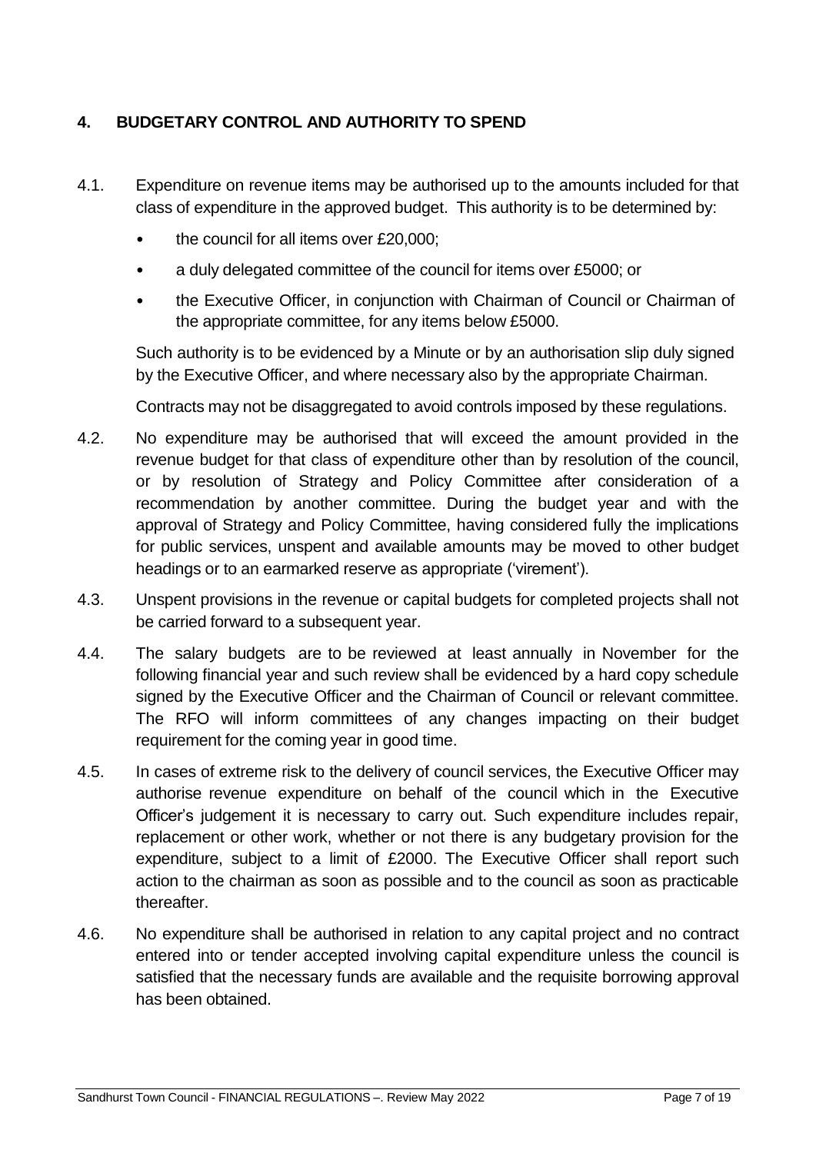## <span id="page-6-0"></span>**4. BUDGETARY CONTROL AND AUTHORITY TO SPEND**

- 4.1. Expenditure on revenue items may be authorised up to the amounts included for that class of expenditure in the approved budget. This authority is to be determined by:
	- the council for all items over £20,000;
	- a duly delegated committee of the council for items over £5000; or
	- the Executive Officer, in conjunction with Chairman of Council or Chairman of the appropriate committee, for any items below £5000.

Such authority is to be evidenced by a Minute or by an authorisation slip duly signed by the Executive Officer, and where necessary also by the appropriate Chairman.

Contracts may not be disaggregated to avoid controls imposed by these regulations.

- 4.2. No expenditure may be authorised that will exceed the amount provided in the revenue budget for that class of expenditure other than by resolution of the council, or by resolution of Strategy and Policy Committee after consideration of a recommendation by another committee. During the budget year and with the approval of Strategy and Policy Committee, having considered fully the implications for public services, unspent and available amounts may be moved to other budget headings or to an earmarked reserve as appropriate ('virement').
- 4.3. Unspent provisions in the revenue or capital budgets for completed projects shall not be carried forward to a subsequent year.
- 4.4. The salary budgets are to be reviewed at least annually in November for the following financial year and such review shall be evidenced by a hard copy schedule signed by the Executive Officer and the Chairman of Council or relevant committee. The RFO will inform committees of any changes impacting on their budget requirement for the coming year in good time.
- 4.5. In cases of extreme risk to the delivery of council services, the Executive Officer may authorise revenue expenditure on behalf of the council which in the Executive Officer's judgement it is necessary to carry out. Such expenditure includes repair, replacement or other work, whether or not there is any budgetary provision for the expenditure, subject to a limit of £2000. The Executive Officer shall report such action to the chairman as soon as possible and to the council as soon as practicable thereafter.
- 4.6. No expenditure shall be authorised in relation to any capital project and no contract entered into or tender accepted involving capital expenditure unless the council is satisfied that the necessary funds are available and the requisite borrowing approval has been obtained.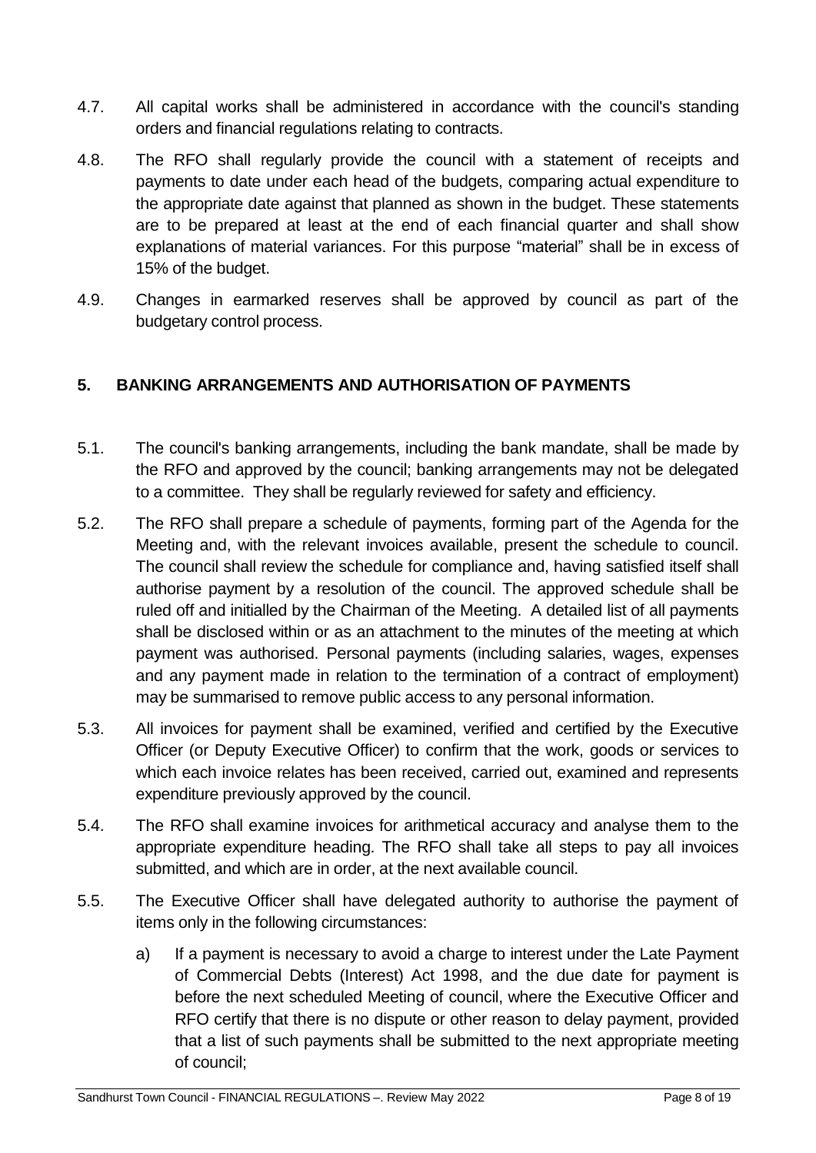- 4.7. All capital works shall be administered in accordance with the council's standing orders and financial regulations relating to contracts.
- 4.8. The RFO shall regularly provide the council with a statement of receipts and payments to date under each head of the budgets, comparing actual expenditure to the appropriate date against that planned as shown in the budget. These statements are to be prepared at least at the end of each financial quarter and shall show explanations of material variances. For this purpose "material" shall be in excess of 15% of the budget.
- 4.9. Changes in earmarked reserves shall be approved by council as part of the budgetary control process.

## <span id="page-7-0"></span>**5. BANKING ARRANGEMENTS AND AUTHORISATION OF PAYMENTS**

- 5.1. The council's banking arrangements, including the bank mandate, shall be made by the RFO and approved by the council; banking arrangements may not be delegated to a committee. They shall be regularly reviewed for safety and efficiency.
- 5.2. The RFO shall prepare a schedule of payments, forming part of the Agenda for the Meeting and, with the relevant invoices available, present the schedule to council. The council shall review the schedule for compliance and, having satisfied itself shall authorise payment by a resolution of the council. The approved schedule shall be ruled off and initialled by the Chairman of the Meeting. A detailed list of all payments shall be disclosed within or as an attachment to the minutes of the meeting at which payment was authorised. Personal payments (including salaries, wages, expenses and any payment made in relation to the termination of a contract of employment) may be summarised to remove public access to any personal information.
- 5.3. All invoices for payment shall be examined, verified and certified by the Executive Officer (or Deputy Executive Officer) to confirm that the work, goods or services to which each invoice relates has been received, carried out, examined and represents expenditure previously approved by the council.
- 5.4. The RFO shall examine invoices for arithmetical accuracy and analyse them to the appropriate expenditure heading. The RFO shall take all steps to pay all invoices submitted, and which are in order, at the next available council.
- 5.5. The Executive Officer shall have delegated authority to authorise the payment of items only in the following circumstances:
	- a) If a payment is necessary to avoid a charge to interest under the Late Payment of Commercial Debts (Interest) Act 1998, and the due date for payment is before the next scheduled Meeting of council, where the Executive Officer and RFO certify that there is no dispute or other reason to delay payment, provided that a list of such payments shall be submitted to the next appropriate meeting of council;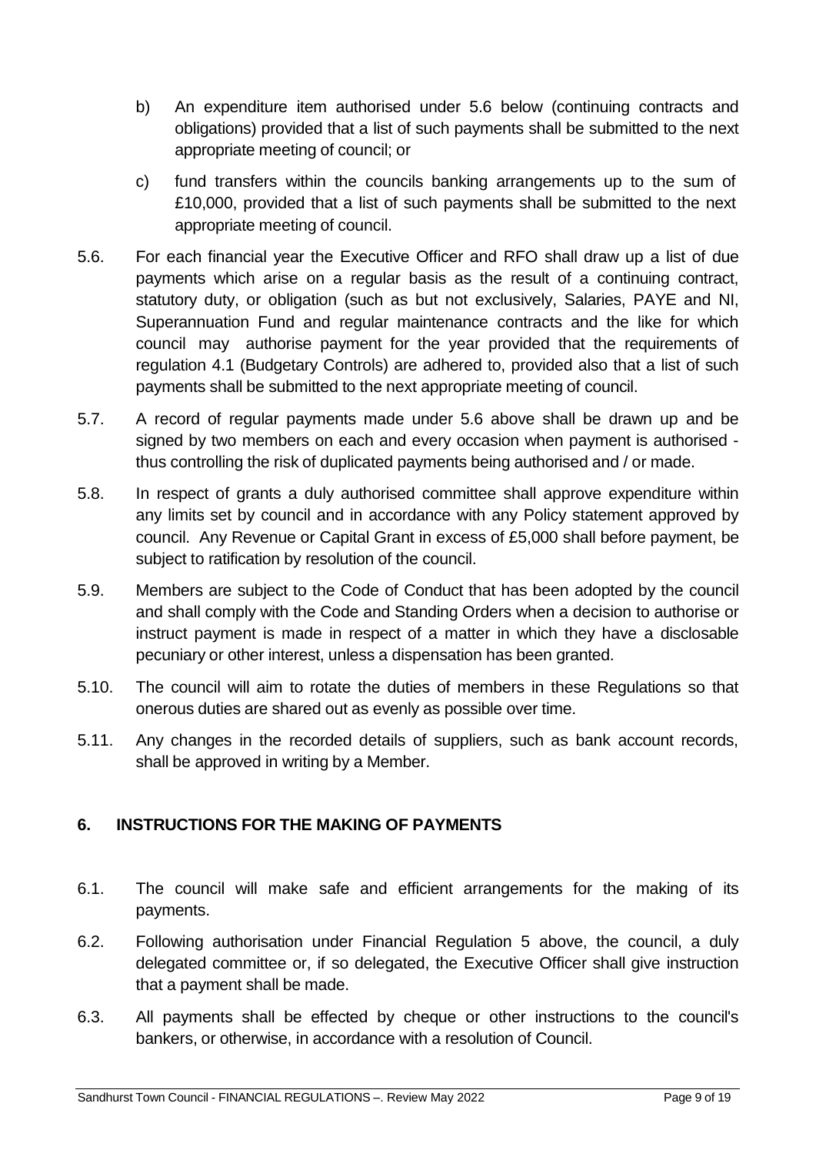- b) An expenditure item authorised under 5.6 below (continuing contracts and obligations) provided that a list of such payments shall be submitted to the next appropriate meeting of council; or
- c) fund transfers within the councils banking arrangements up to the sum of £10,000, provided that a list of such payments shall be submitted to the next appropriate meeting of council.
- 5.6. For each financial year the Executive Officer and RFO shall draw up a list of due payments which arise on a regular basis as the result of a continuing contract, statutory duty, or obligation (such as but not exclusively, Salaries, PAYE and NI, Superannuation Fund and regular maintenance contracts and the like for which council may authorise payment for the year provided that the requirements of regulation 4.1 (Budgetary Controls) are adhered to, provided also that a list of such payments shall be submitted to the next appropriate meeting of council.
- 5.7. A record of regular payments made under 5.6 above shall be drawn up and be signed by two members on each and every occasion when payment is authorised thus controlling the risk of duplicated payments being authorised and / or made.
- 5.8. In respect of grants a duly authorised committee shall approve expenditure within any limits set by council and in accordance with any Policy statement approved by council. Any Revenue or Capital Grant in excess of £5,000 shall before payment, be subject to ratification by resolution of the council.
- 5.9. Members are subject to the Code of Conduct that has been adopted by the council and shall comply with the Code and Standing Orders when a decision to authorise or instruct payment is made in respect of a matter in which they have a disclosable pecuniary or other interest, unless a dispensation has been granted.
- 5.10. The council will aim to rotate the duties of members in these Regulations so that onerous duties are shared out as evenly as possible over time.
- 5.11. Any changes in the recorded details of suppliers, such as bank account records, shall be approved in writing by a Member.

## <span id="page-8-0"></span>**6. INSTRUCTIONS FOR THE MAKING OF PAYMENTS**

- 6.1. The council will make safe and efficient arrangements for the making of its payments.
- 6.2. Following authorisation under Financial Regulation 5 above, the council, a duly delegated committee or, if so delegated, the Executive Officer shall give instruction that a payment shall be made.
- 6.3. All payments shall be effected by cheque or other instructions to the council's bankers, or otherwise, in accordance with a resolution of Council.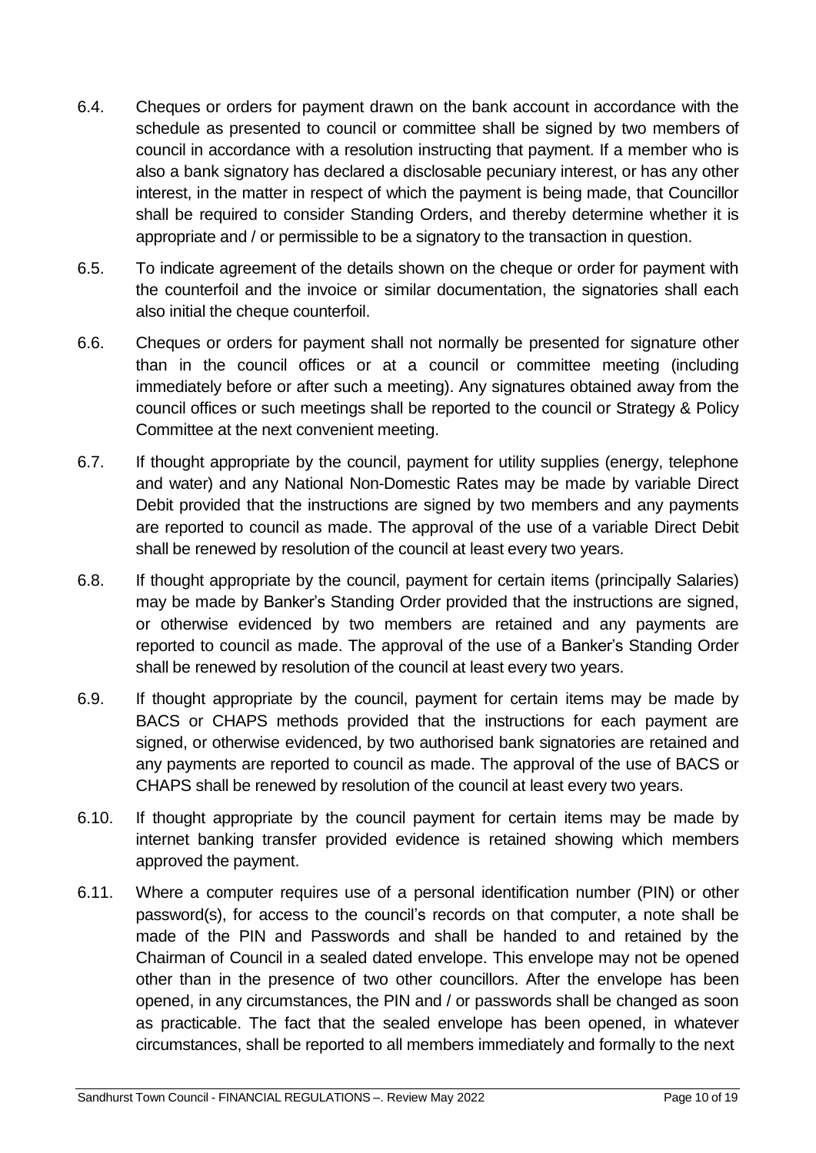- 6.4. Cheques or orders for payment drawn on the bank account in accordance with the schedule as presented to council or committee shall be signed by two members of council in accordance with a resolution instructing that payment. If a member who is also a bank signatory has declared a disclosable pecuniary interest, or has any other interest, in the matter in respect of which the payment is being made, that Councillor shall be required to consider Standing Orders, and thereby determine whether it is appropriate and / or permissible to be a signatory to the transaction in question.
- 6.5. To indicate agreement of the details shown on the cheque or order for payment with the counterfoil and the invoice or similar documentation, the signatories shall each also initial the cheque counterfoil.
- 6.6. Cheques or orders for payment shall not normally be presented for signature other than in the council offices or at a council or committee meeting (including immediately before or after such a meeting). Any signatures obtained away from the council offices or such meetings shall be reported to the council or Strategy & Policy Committee at the next convenient meeting.
- 6.7. If thought appropriate by the council, payment for utility supplies (energy, telephone and water) and any National Non-Domestic Rates may be made by variable Direct Debit provided that the instructions are signed by two members and any payments are reported to council as made. The approval of the use of a variable Direct Debit shall be renewed by resolution of the council at least every two years.
- 6.8. If thought appropriate by the council, payment for certain items (principally Salaries) may be made by Banker's Standing Order provided that the instructions are signed, or otherwise evidenced by two members are retained and any payments are reported to council as made. The approval of the use of a Banker's Standing Order shall be renewed by resolution of the council at least every two years.
- 6.9. If thought appropriate by the council, payment for certain items may be made by BACS or CHAPS methods provided that the instructions for each payment are signed, or otherwise evidenced, by two authorised bank signatories are retained and any payments are reported to council as made. The approval of the use of BACS or CHAPS shall be renewed by resolution of the council at least every two years.
- 6.10. If thought appropriate by the council payment for certain items may be made by internet banking transfer provided evidence is retained showing which members approved the payment.
- 6.11. Where a computer requires use of a personal identification number (PIN) or other password(s), for access to the council's records on that computer, a note shall be made of the PIN and Passwords and shall be handed to and retained by the Chairman of Council in a sealed dated envelope. This envelope may not be opened other than in the presence of two other councillors. After the envelope has been opened, in any circumstances, the PIN and / or passwords shall be changed as soon as practicable. The fact that the sealed envelope has been opened, in whatever circumstances, shall be reported to all members immediately and formally to the next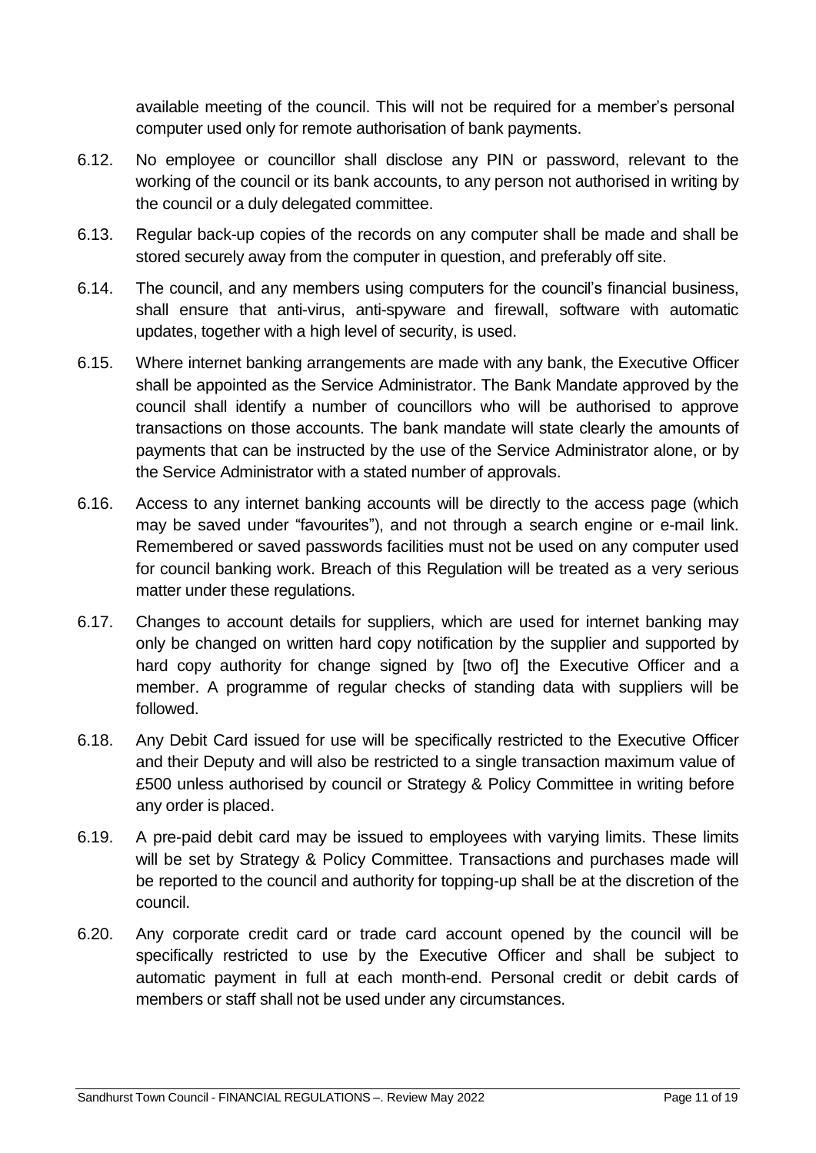available meeting of the council. This will not be required for a member's personal computer used only for remote authorisation of bank payments.

- 6.12. No employee or councillor shall disclose any PIN or password, relevant to the working of the council or its bank accounts, to any person not authorised in writing by the council or a duly delegated committee.
- 6.13. Regular back-up copies of the records on any computer shall be made and shall be stored securely away from the computer in question, and preferably off site.
- 6.14. The council, and any members using computers for the council's financial business, shall ensure that anti-virus, anti-spyware and firewall, software with automatic updates, together with a high level of security, is used.
- 6.15. Where internet banking arrangements are made with any bank, the Executive Officer shall be appointed as the Service Administrator. The Bank Mandate approved by the council shall identify a number of councillors who will be authorised to approve transactions on those accounts. The bank mandate will state clearly the amounts of payments that can be instructed by the use of the Service Administrator alone, or by the Service Administrator with a stated number of approvals.
- 6.16. Access to any internet banking accounts will be directly to the access page (which may be saved under "favourites"), and not through a search engine or e-mail link. Remembered or saved passwords facilities must not be used on any computer used for council banking work. Breach of this Regulation will be treated as a very serious matter under these regulations.
- 6.17. Changes to account details for suppliers, which are used for internet banking may only be changed on written hard copy notification by the supplier and supported by hard copy authority for change signed by [two of] the Executive Officer and a member. A programme of regular checks of standing data with suppliers will be followed.
- 6.18. Any Debit Card issued for use will be specifically restricted to the Executive Officer and their Deputy and will also be restricted to a single transaction maximum value of £500 unless authorised by council or Strategy & Policy Committee in writing before any order is placed.
- 6.19. A pre-paid debit card may be issued to employees with varying limits. These limits will be set by Strategy & Policy Committee. Transactions and purchases made will be reported to the council and authority for topping-up shall be at the discretion of the council.
- 6.20. Any corporate credit card or trade card account opened by the council will be specifically restricted to use by the Executive Officer and shall be subject to automatic payment in full at each month-end. Personal credit or debit cards of members or staff shall not be used under any circumstances.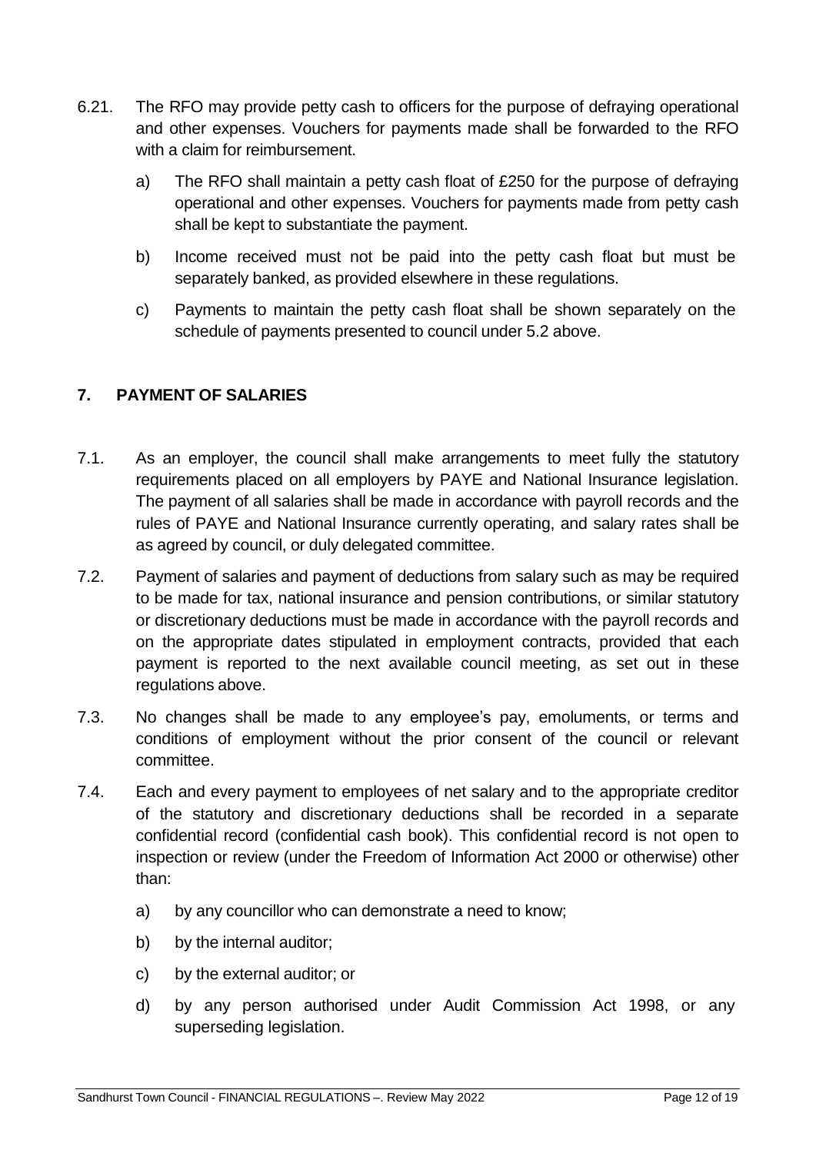- 6.21. The RFO may provide petty cash to officers for the purpose of defraying operational and other expenses. Vouchers for payments made shall be forwarded to the RFO with a claim for reimbursement.
	- a) The RFO shall maintain a petty cash float of £250 for the purpose of defraying operational and other expenses. Vouchers for payments made from petty cash shall be kept to substantiate the payment.
	- b) Income received must not be paid into the petty cash float but must be separately banked, as provided elsewhere in these regulations.
	- c) Payments to maintain the petty cash float shall be shown separately on the schedule of payments presented to council under 5.2 above.

## <span id="page-11-0"></span>**7. PAYMENT OF SALARIES**

- 7.1. As an employer, the council shall make arrangements to meet fully the statutory requirements placed on all employers by PAYE and National Insurance legislation. The payment of all salaries shall be made in accordance with payroll records and the rules of PAYE and National Insurance currently operating, and salary rates shall be as agreed by council, or duly delegated committee.
- 7.2. Payment of salaries and payment of deductions from salary such as may be required to be made for tax, national insurance and pension contributions, or similar statutory or discretionary deductions must be made in accordance with the payroll records and on the appropriate dates stipulated in employment contracts, provided that each payment is reported to the next available council meeting, as set out in these regulations above.
- 7.3. No changes shall be made to any employee's pay, emoluments, or terms and conditions of employment without the prior consent of the council or relevant committee.
- 7.4. Each and every payment to employees of net salary and to the appropriate creditor of the statutory and discretionary deductions shall be recorded in a separate confidential record (confidential cash book). This confidential record is not open to inspection or review (under the Freedom of Information Act 2000 or otherwise) other than:
	- a) by any councillor who can demonstrate a need to know;
	- b) by the internal auditor;
	- c) by the external auditor; or
	- d) by any person authorised under Audit Commission Act 1998, or any superseding legislation.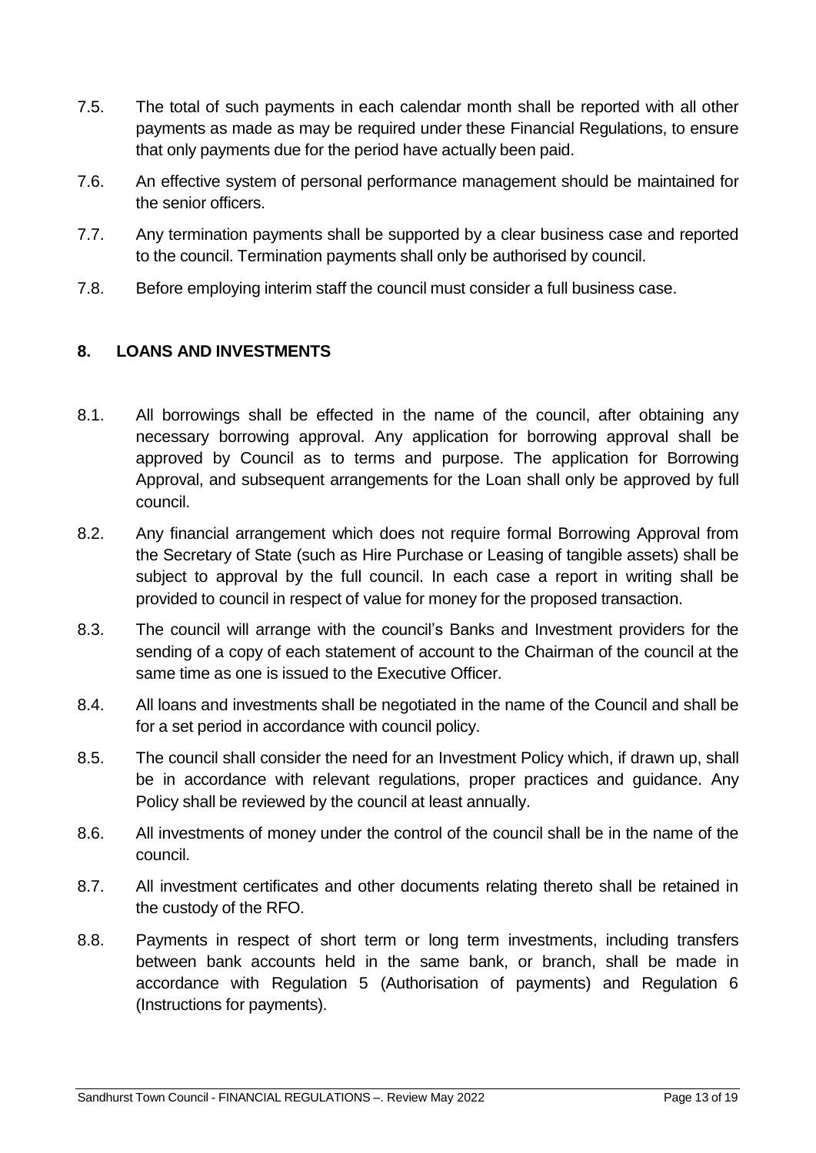- 7.5. The total of such payments in each calendar month shall be reported with all other payments as made as may be required under these Financial Regulations, to ensure that only payments due for the period have actually been paid.
- 7.6. An effective system of personal performance management should be maintained for the senior officers.
- 7.7. Any termination payments shall be supported by a clear business case and reported to the council. Termination payments shall only be authorised by council.
- 7.8. Before employing interim staff the council must consider a full business case.

## <span id="page-12-0"></span>**8. LOANS AND INVESTMENTS**

- 8.1. All borrowings shall be effected in the name of the council, after obtaining any necessary borrowing approval. Any application for borrowing approval shall be approved by Council as to terms and purpose. The application for Borrowing Approval, and subsequent arrangements for the Loan shall only be approved by full council.
- 8.2. Any financial arrangement which does not require formal Borrowing Approval from the Secretary of State (such as Hire Purchase or Leasing of tangible assets) shall be subject to approval by the full council. In each case a report in writing shall be provided to council in respect of value for money for the proposed transaction.
- 8.3. The council will arrange with the council's Banks and Investment providers for the sending of a copy of each statement of account to the Chairman of the council at the same time as one is issued to the Executive Officer.
- 8.4. All loans and investments shall be negotiated in the name of the Council and shall be for a set period in accordance with council policy.
- 8.5. The council shall consider the need for an Investment Policy which, if drawn up, shall be in accordance with relevant regulations, proper practices and guidance. Any Policy shall be reviewed by the council at least annually.
- 8.6. All investments of money under the control of the council shall be in the name of the council.
- 8.7. All investment certificates and other documents relating thereto shall be retained in the custody of the RFO.
- 8.8. Payments in respect of short term or long term investments, including transfers between bank accounts held in the same bank, or branch, shall be made in accordance with Regulation 5 (Authorisation of payments) and Regulation 6 (Instructions for payments).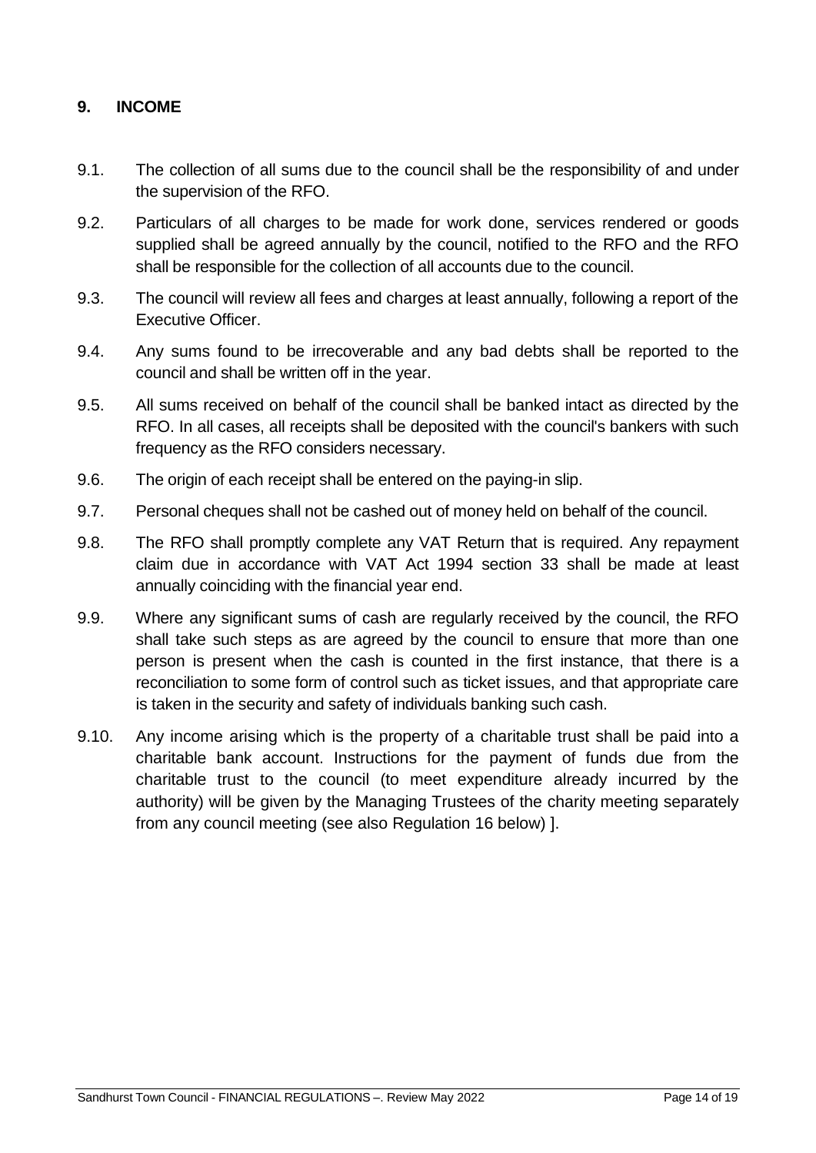#### <span id="page-13-0"></span>**9. INCOME**

- 9.1. The collection of all sums due to the council shall be the responsibility of and under the supervision of the RFO.
- 9.2. Particulars of all charges to be made for work done, services rendered or goods supplied shall be agreed annually by the council, notified to the RFO and the RFO shall be responsible for the collection of all accounts due to the council.
- 9.3. The council will review all fees and charges at least annually, following a report of the Executive Officer.
- 9.4. Any sums found to be irrecoverable and any bad debts shall be reported to the council and shall be written off in the year.
- 9.5. All sums received on behalf of the council shall be banked intact as directed by the RFO. In all cases, all receipts shall be deposited with the council's bankers with such frequency as the RFO considers necessary.
- 9.6. The origin of each receipt shall be entered on the paying-in slip.
- 9.7. Personal cheques shall not be cashed out of money held on behalf of the council.
- 9.8. The RFO shall promptly complete any VAT Return that is required. Any repayment claim due in accordance with VAT Act 1994 section 33 shall be made at least annually coinciding with the financial year end.
- 9.9. Where any significant sums of cash are regularly received by the council, the RFO shall take such steps as are agreed by the council to ensure that more than one person is present when the cash is counted in the first instance, that there is a reconciliation to some form of control such as ticket issues, and that appropriate care is taken in the security and safety of individuals banking such cash.
- 9.10. Any income arising which is the property of a charitable trust shall be paid into a charitable bank account. Instructions for the payment of funds due from the charitable trust to the council (to meet expenditure already incurred by the authority) will be given by the Managing Trustees of the charity meeting separately from any council meeting (see also Regulation 16 below) ].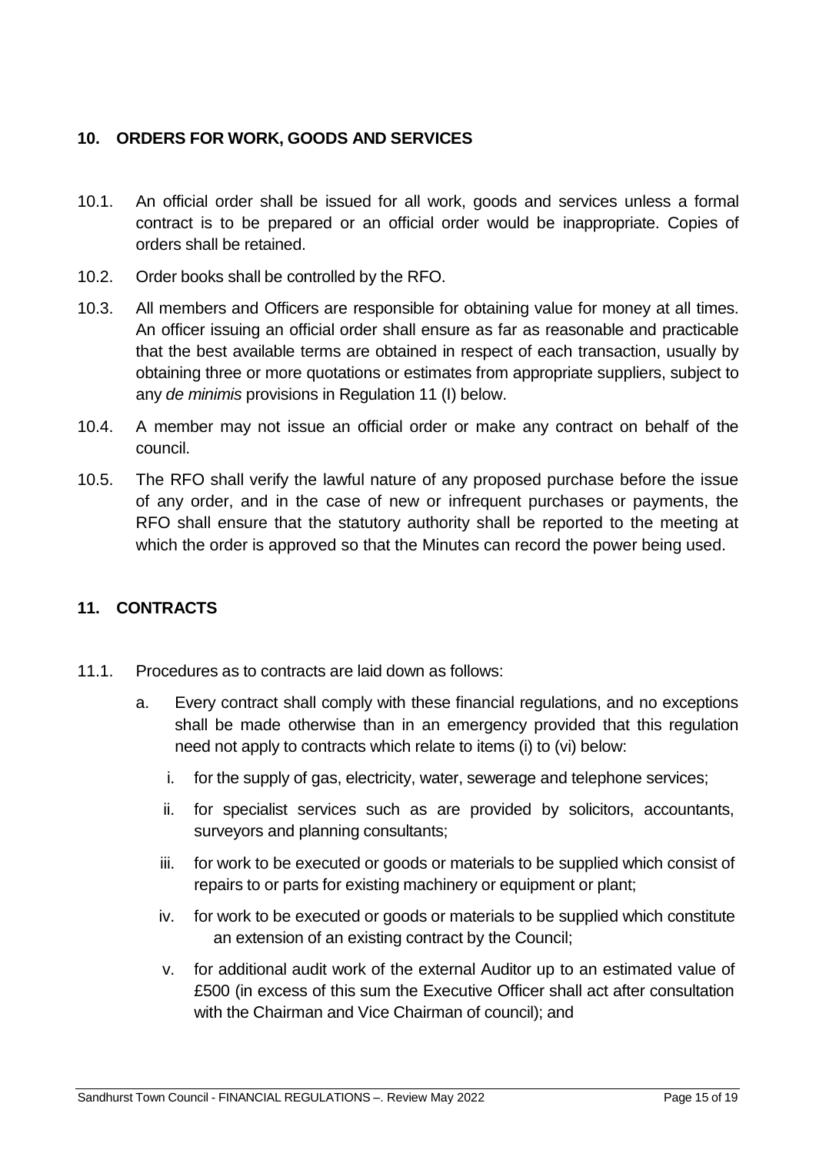## <span id="page-14-0"></span>**10. ORDERS FOR WORK, GOODS AND SERVICES**

- 10.1. An official order shall be issued for all work, goods and services unless a formal contract is to be prepared or an official order would be inappropriate. Copies of orders shall be retained.
- 10.2. Order books shall be controlled by the RFO.
- 10.3. All members and Officers are responsible for obtaining value for money at all times. An officer issuing an official order shall ensure as far as reasonable and practicable that the best available terms are obtained in respect of each transaction, usually by obtaining three or more quotations or estimates from appropriate suppliers, subject to any *de minimis* provisions in Regulation 11 (I) below.
- 10.4. A member may not issue an official order or make any contract on behalf of the council.
- 10.5. The RFO shall verify the lawful nature of any proposed purchase before the issue of any order, and in the case of new or infrequent purchases or payments, the RFO shall ensure that the statutory authority shall be reported to the meeting at which the order is approved so that the Minutes can record the power being used.

#### <span id="page-14-1"></span>**11. CONTRACTS**

- 11.1. Procedures as to contracts are laid down as follows:
	- a. Every contract shall comply with these financial regulations, and no exceptions shall be made otherwise than in an emergency provided that this regulation need not apply to contracts which relate to items (i) to (vi) below:
		- i. for the supply of gas, electricity, water, sewerage and telephone services;
		- ii. for specialist services such as are provided by solicitors, accountants, surveyors and planning consultants;
		- iii. for work to be executed or goods or materials to be supplied which consist of repairs to or parts for existing machinery or equipment or plant;
		- iv. for work to be executed or goods or materials to be supplied which constitute an extension of an existing contract by the Council;
		- v. for additional audit work of the external Auditor up to an estimated value of £500 (in excess of this sum the Executive Officer shall act after consultation with the Chairman and Vice Chairman of council); and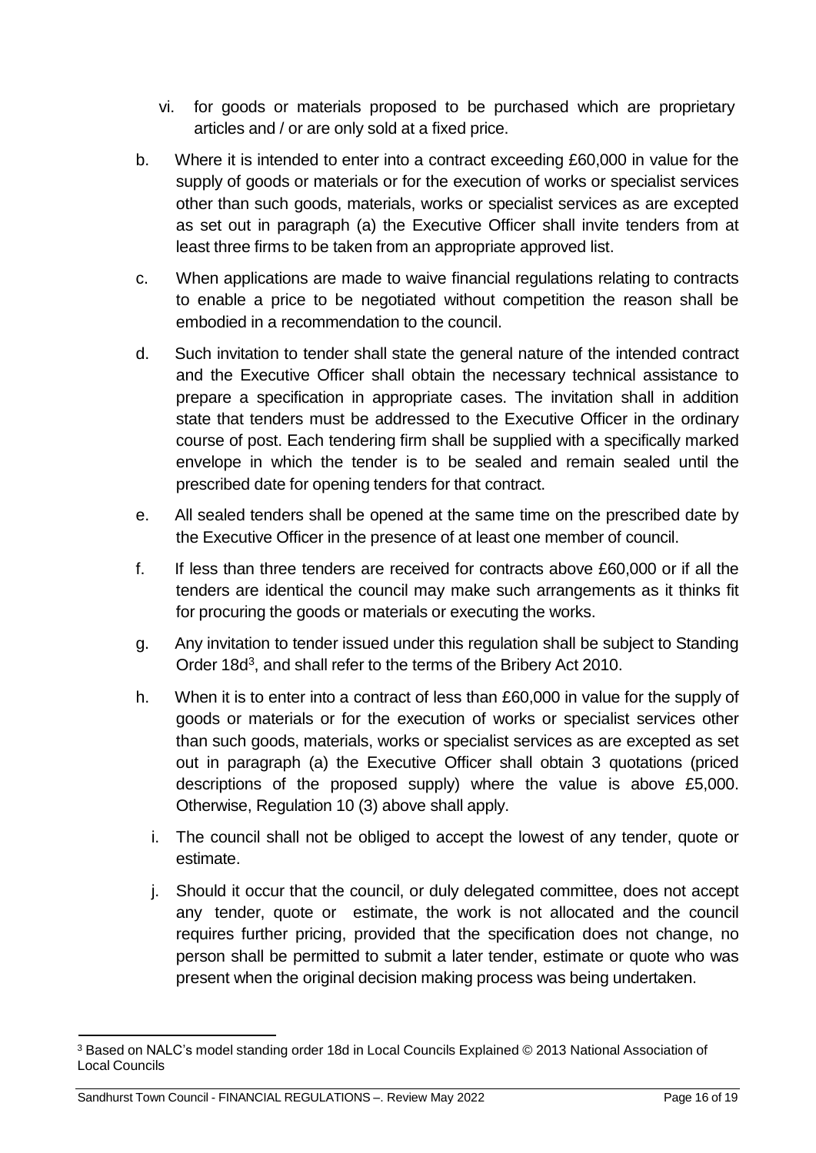- vi. for goods or materials proposed to be purchased which are proprietary articles and / or are only sold at a fixed price.
- b. Where it is intended to enter into a contract exceeding £60,000 in value for the supply of goods or materials or for the execution of works or specialist services other than such goods, materials, works or specialist services as are excepted as set out in paragraph (a) the Executive Officer shall invite tenders from at least three firms to be taken from an appropriate approved list.
- c. When applications are made to waive financial regulations relating to contracts to enable a price to be negotiated without competition the reason shall be embodied in a recommendation to the council.
- d. Such invitation to tender shall state the general nature of the intended contract and the Executive Officer shall obtain the necessary technical assistance to prepare a specification in appropriate cases. The invitation shall in addition state that tenders must be addressed to the Executive Officer in the ordinary course of post. Each tendering firm shall be supplied with a specifically marked envelope in which the tender is to be sealed and remain sealed until the prescribed date for opening tenders for that contract.
- e. All sealed tenders shall be opened at the same time on the prescribed date by the Executive Officer in the presence of at least one member of council.
- f. If less than three tenders are received for contracts above £60,000 or if all the tenders are identical the council may make such arrangements as it thinks fit for procuring the goods or materials or executing the works.
- g. Any invitation to tender issued under this regulation shall be subject to Standing Order 18d<sup>[3](#page-15-0)</sup>, and shall refer to the terms of the Bribery Act 2010.
- h. When it is to enter into a contract of less than £60,000 in value for the supply of goods or materials or for the execution of works or specialist services other than such goods, materials, works or specialist services as are excepted as set out in paragraph (a) the Executive Officer shall obtain 3 quotations (priced descriptions of the proposed supply) where the value is above £5,000. Otherwise, Regulation 10 (3) above shall apply.
	- i. The council shall not be obliged to accept the lowest of any tender, quote or estimate.
	- j. Should it occur that the council, or duly delegated committee, does not accept any tender, quote or estimate, the work is not allocated and the council requires further pricing, provided that the specification does not change, no person shall be permitted to submit a later tender, estimate or quote who was present when the original decision making process was being undertaken.

<span id="page-15-0"></span><sup>3</sup> Based on NALC's model standing order 18d in Local Councils Explained © 2013 National Association of Local Councils

Sandhurst Town Council - FINANCIAL REGULATIONS –. Review May 2022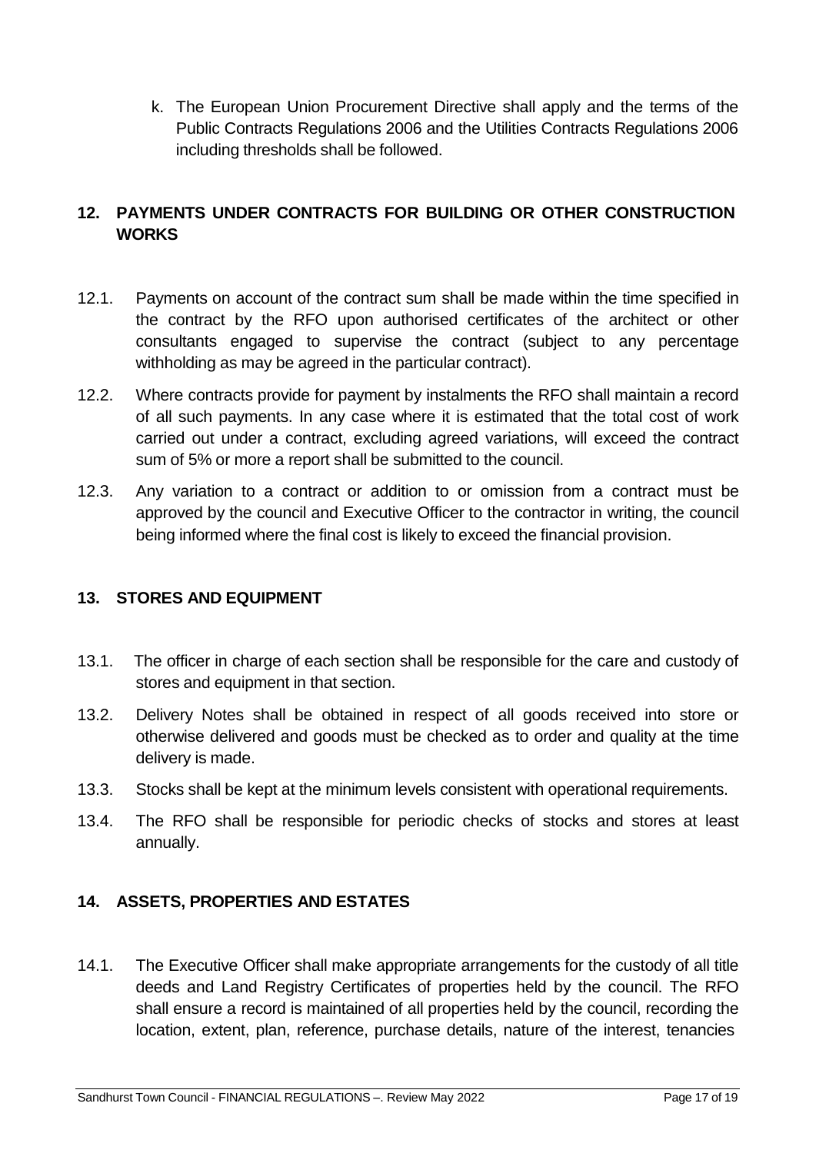k. The European Union Procurement Directive shall apply and the terms of the Public Contracts Regulations 2006 and the Utilities Contracts Regulations 2006 including thresholds shall be followed.

## <span id="page-16-0"></span>**12. PAYMENTS UNDER CONTRACTS FOR BUILDING OR OTHER CONSTRUCTION WORKS**

- 12.1. Payments on account of the contract sum shall be made within the time specified in the contract by the RFO upon authorised certificates of the architect or other consultants engaged to supervise the contract (subject to any percentage withholding as may be agreed in the particular contract).
- 12.2. Where contracts provide for payment by instalments the RFO shall maintain a record of all such payments. In any case where it is estimated that the total cost of work carried out under a contract, excluding agreed variations, will exceed the contract sum of 5% or more a report shall be submitted to the council.
- 12.3. Any variation to a contract or addition to or omission from a contract must be approved by the council and Executive Officer to the contractor in writing, the council being informed where the final cost is likely to exceed the financial provision.

## <span id="page-16-1"></span>**13. STORES AND EQUIPMENT**

- 13.1. The officer in charge of each section shall be responsible for the care and custody of stores and equipment in that section.
- 13.2. Delivery Notes shall be obtained in respect of all goods received into store or otherwise delivered and goods must be checked as to order and quality at the time delivery is made.
- 13.3. Stocks shall be kept at the minimum levels consistent with operational requirements.
- 13.4. The RFO shall be responsible for periodic checks of stocks and stores at least annually.

## <span id="page-16-2"></span>**14. ASSETS, PROPERTIES AND ESTATES**

14.1. The Executive Officer shall make appropriate arrangements for the custody of all title deeds and Land Registry Certificates of properties held by the council. The RFO shall ensure a record is maintained of all properties held by the council, recording the location, extent, plan, reference, purchase details, nature of the interest, tenancies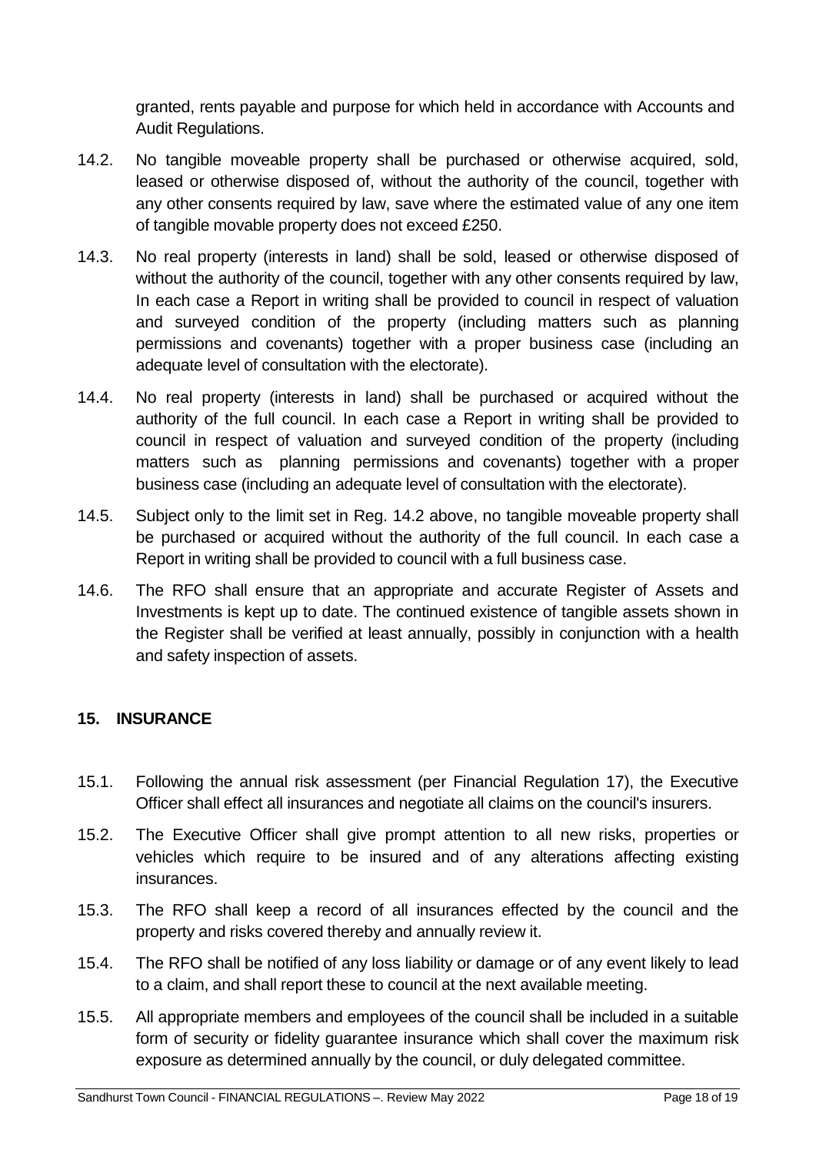granted, rents payable and purpose for which held in accordance with Accounts and Audit Regulations.

- 14.2. No tangible moveable property shall be purchased or otherwise acquired, sold, leased or otherwise disposed of, without the authority of the council, together with any other consents required by law, save where the estimated value of any one item of tangible movable property does not exceed £250.
- 14.3. No real property (interests in land) shall be sold, leased or otherwise disposed of without the authority of the council, together with any other consents required by law, In each case a Report in writing shall be provided to council in respect of valuation and surveyed condition of the property (including matters such as planning permissions and covenants) together with a proper business case (including an adequate level of consultation with the electorate).
- 14.4. No real property (interests in land) shall be purchased or acquired without the authority of the full council. In each case a Report in writing shall be provided to council in respect of valuation and surveyed condition of the property (including matters such as planning permissions and covenants) together with a proper business case (including an adequate level of consultation with the electorate).
- 14.5. Subject only to the limit set in Reg. 14.2 above, no tangible moveable property shall be purchased or acquired without the authority of the full council. In each case a Report in writing shall be provided to council with a full business case.
- 14.6. The RFO shall ensure that an appropriate and accurate Register of Assets and Investments is kept up to date. The continued existence of tangible assets shown in the Register shall be verified at least annually, possibly in conjunction with a health and safety inspection of assets.

## <span id="page-17-0"></span>**15. INSURANCE**

- 15.1. Following the annual risk assessment (per Financial Regulation 17), the Executive Officer shall effect all insurances and negotiate all claims on the council's insurers.
- 15.2. The Executive Officer shall give prompt attention to all new risks, properties or vehicles which require to be insured and of any alterations affecting existing insurances.
- 15.3. The RFO shall keep a record of all insurances effected by the council and the property and risks covered thereby and annually review it.
- 15.4. The RFO shall be notified of any loss liability or damage or of any event likely to lead to a claim, and shall report these to council at the next available meeting.
- 15.5. All appropriate members and employees of the council shall be included in a suitable form of security or fidelity guarantee insurance which shall cover the maximum risk exposure as determined annually by the council, or duly delegated committee.